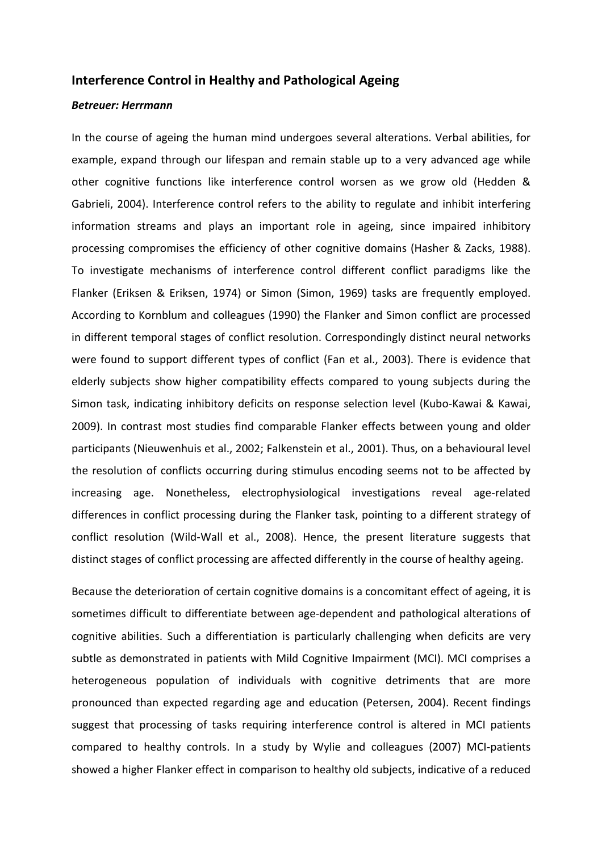## Interference Control in Healthy and Pathological Ageing

## Betreuer: Herrmann

In the course of ageing the human mind undergoes several alterations. Verbal abilities, for example, expand through our lifespan and remain stable up to a very advanced age while other cognitive functions like interference control worsen as we grow old (Hedden & Gabrieli, 2004). Interference control refers to the ability to regulate and inhibit interfering information streams and plays an important role in ageing, since impaired inhibitory processing compromises the efficiency of other cognitive domains (Hasher & Zacks, 1988). To investigate mechanisms of interference control different conflict paradigms like the Flanker (Eriksen & Eriksen, 1974) or Simon (Simon, 1969) tasks are frequently employed. According to Kornblum and colleagues (1990) the Flanker and Simon conflict are processed in different temporal stages of conflict resolution. Correspondingly distinct neural networks were found to support different types of conflict (Fan et al., 2003). There is evidence that elderly subjects show higher compatibility effects compared to young subjects during the Simon task, indicating inhibitory deficits on response selection level (Kubo-Kawai & Kawai, 2009). In contrast most studies find comparable Flanker effects between young and older participants (Nieuwenhuis et al., 2002; Falkenstein et al., 2001). Thus, on a behavioural level the resolution of conflicts occurring during stimulus encoding seems not to be affected by increasing age. Nonetheless, electrophysiological investigations reveal age-related differences in conflict processing during the Flanker task, pointing to a different strategy of conflict resolution (Wild-Wall et al., 2008). Hence, the present literature suggests that distinct stages of conflict processing are affected differently in the course of healthy ageing.

Because the deterioration of certain cognitive domains is a concomitant effect of ageing, it is sometimes difficult to differentiate between age-dependent and pathological alterations of cognitive abilities. Such a differentiation is particularly challenging when deficits are very subtle as demonstrated in patients with Mild Cognitive Impairment (MCI). MCI comprises a heterogeneous population of individuals with cognitive detriments that are more pronounced than expected regarding age and education (Petersen, 2004). Recent findings suggest that processing of tasks requiring interference control is altered in MCI patients compared to healthy controls. In a study by Wylie and colleagues (2007) MCI-patients showed a higher Flanker effect in comparison to healthy old subjects, indicative of a reduced